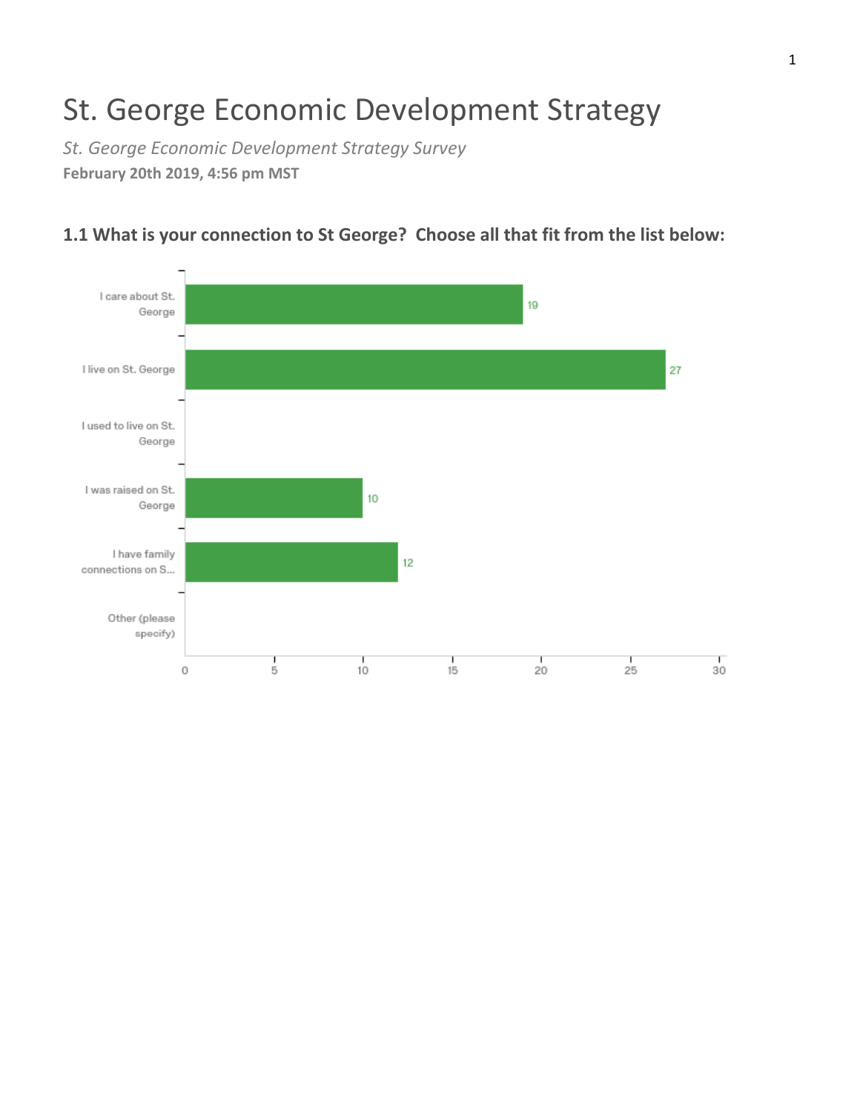# St. George Economic Development Strategy

*St. George Economic Development Strategy Survey* **February 20th 2019, 4:56 pm MST**



### **1.1 What is your connection to St George? Choose all that fit from the list below:**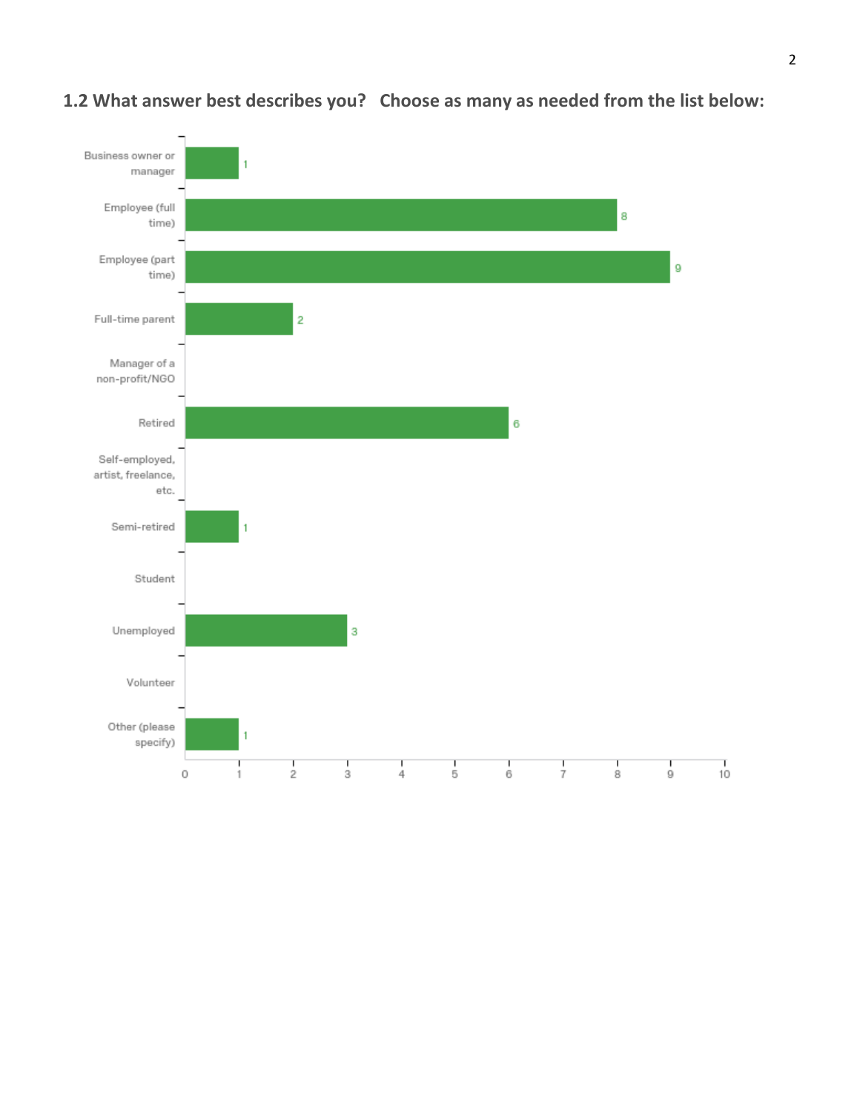

### **1.2 What answer best describes you? Choose as many as needed from the list below:**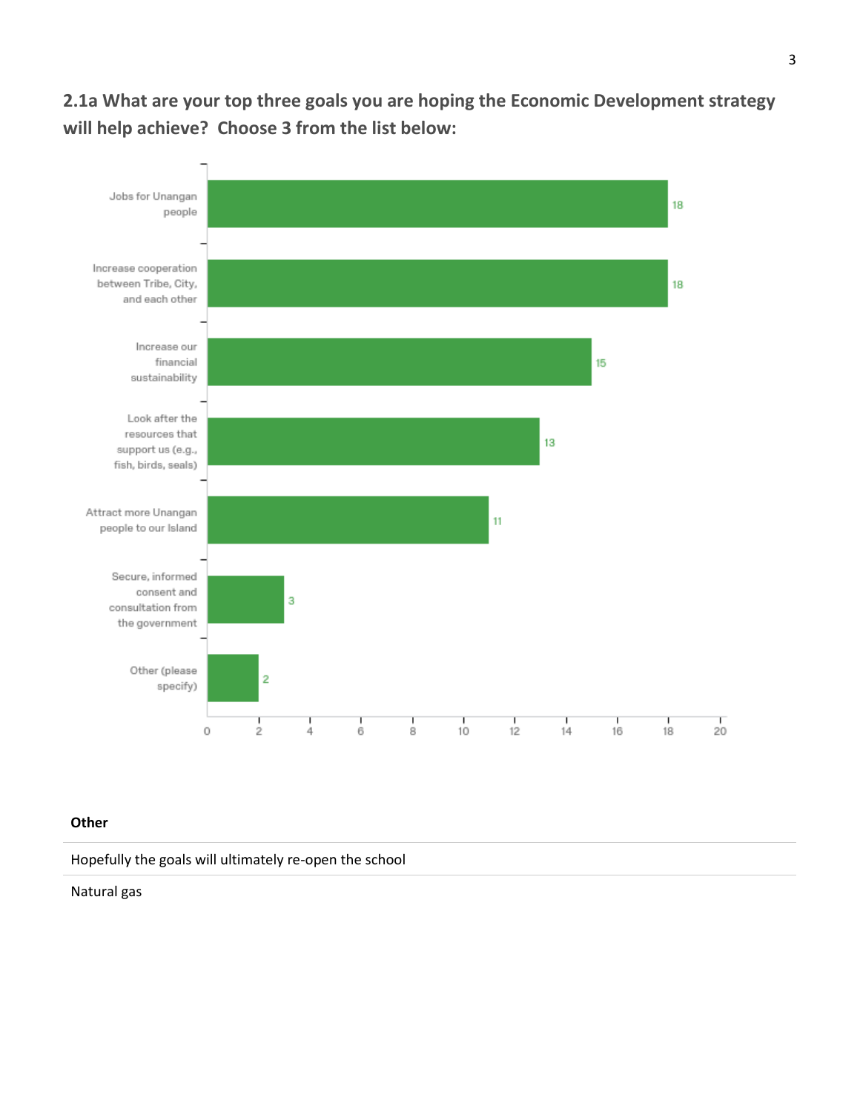**2.1a What are your top three goals you are hoping the Economic Development strategy will help achieve? Choose 3 from the list below:**



#### **Other**

Hopefully the goals will ultimately re-open the school

Natural gas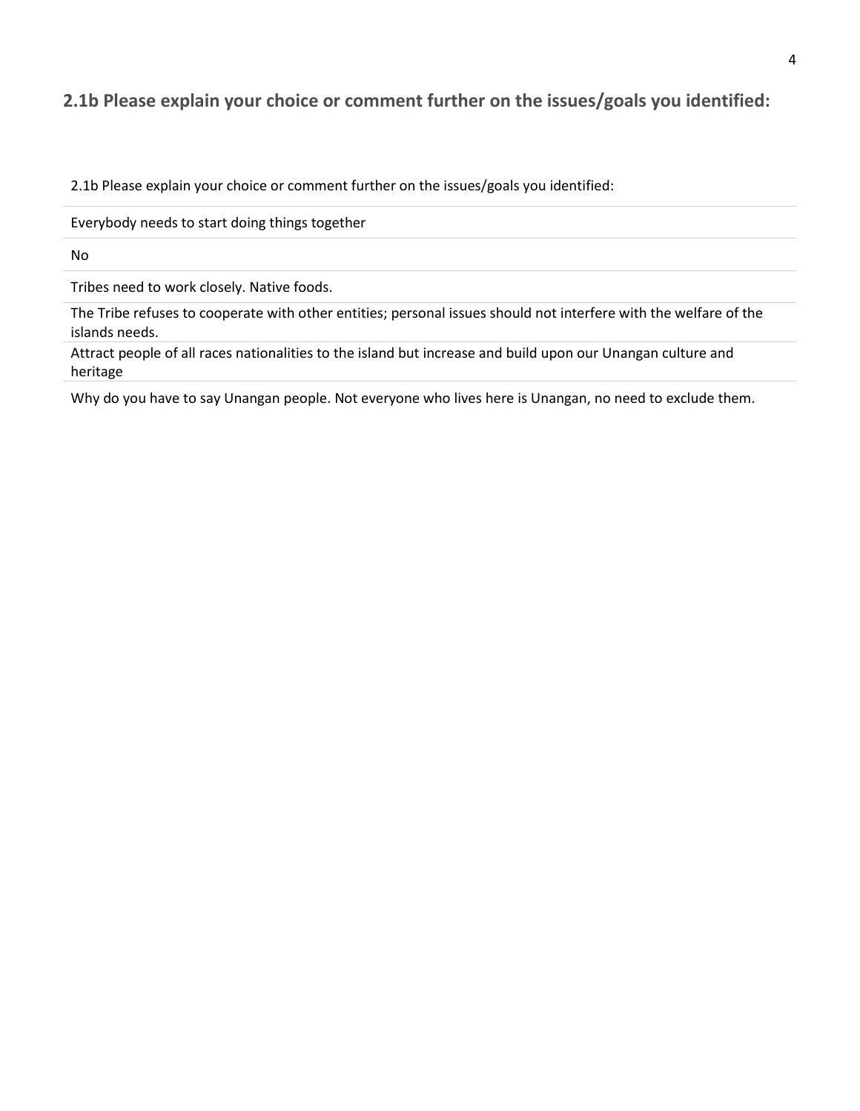#### **2.1b Please explain your choice or comment further on the issues/goals you identified:**

2.1b Please explain your choice or comment further on the issues/goals you identified:

Everybody needs to start doing things together

No

Tribes need to work closely. Native foods.

The Tribe refuses to cooperate with other entities; personal issues should not interfere with the welfare of the islands needs.

Attract people of all races nationalities to the island but increase and build upon our Unangan culture and heritage

Why do you have to say Unangan people. Not everyone who lives here is Unangan, no need to exclude them.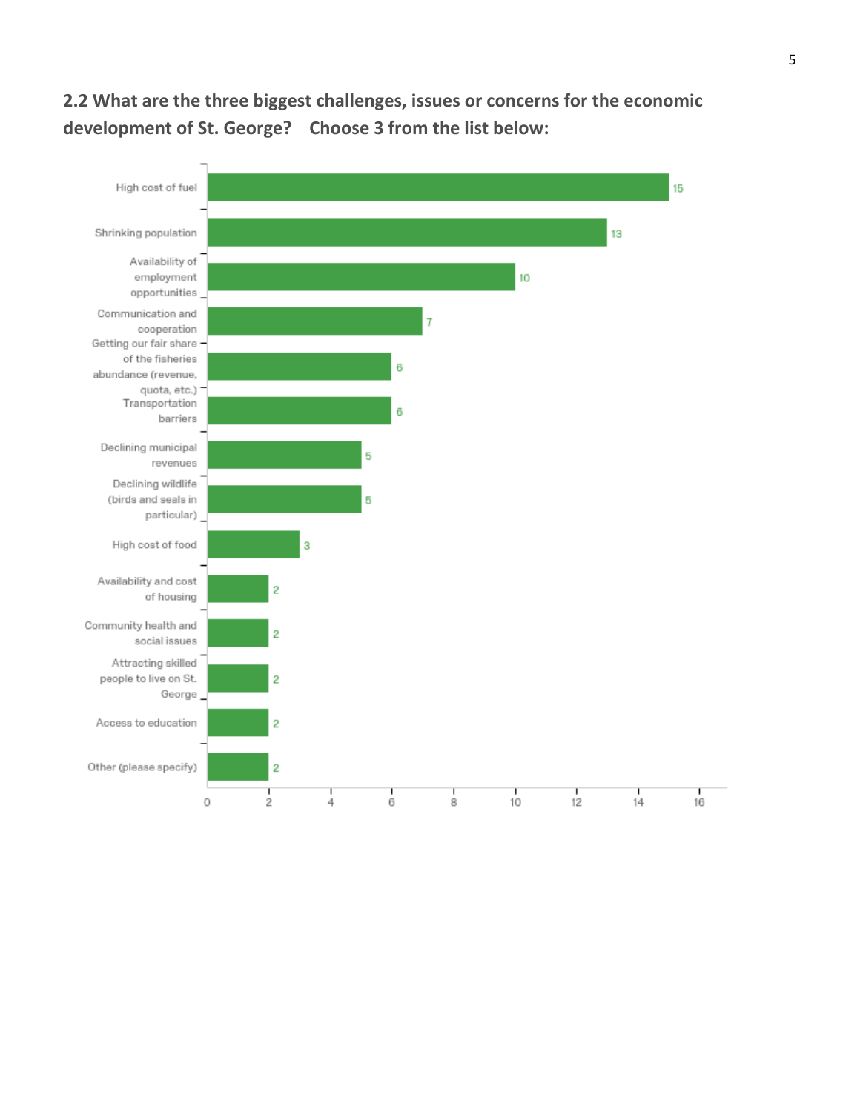## **2.2 What are the three biggest challenges, issues or concerns for the economic development of St. George? Choose 3 from the list below:**

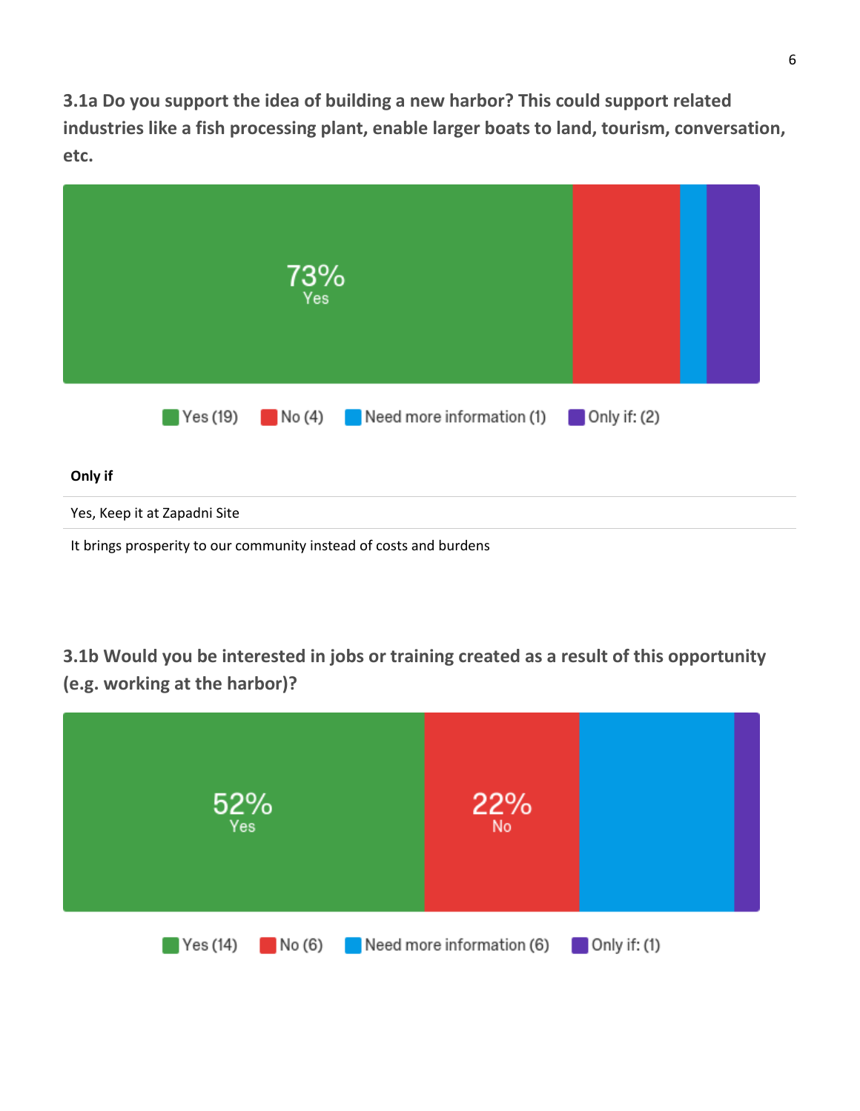**3.1a Do you support the idea of building a new harbor? This could support related industries like a fish processing plant, enable larger boats to land, tourism, conversation, etc.**

|                                                                    | 73%<br>Yes |                                                                                                                    |  |  |  |
|--------------------------------------------------------------------|------------|--------------------------------------------------------------------------------------------------------------------|--|--|--|
|                                                                    |            | $\blacksquare$ Yes (19) $\blacksquare$ No (4) $\blacksquare$ Need more information (1) $\blacksquare$ Only if: (2) |  |  |  |
| Only if                                                            |            |                                                                                                                    |  |  |  |
| Yes, Keep it at Zapadni Site                                       |            |                                                                                                                    |  |  |  |
| It brings prosperity to our community instead of costs and burdens |            |                                                                                                                    |  |  |  |

**3.1b Would you be interested in jobs or training created as a result of this opportunity (e.g. working at the harbor)?**

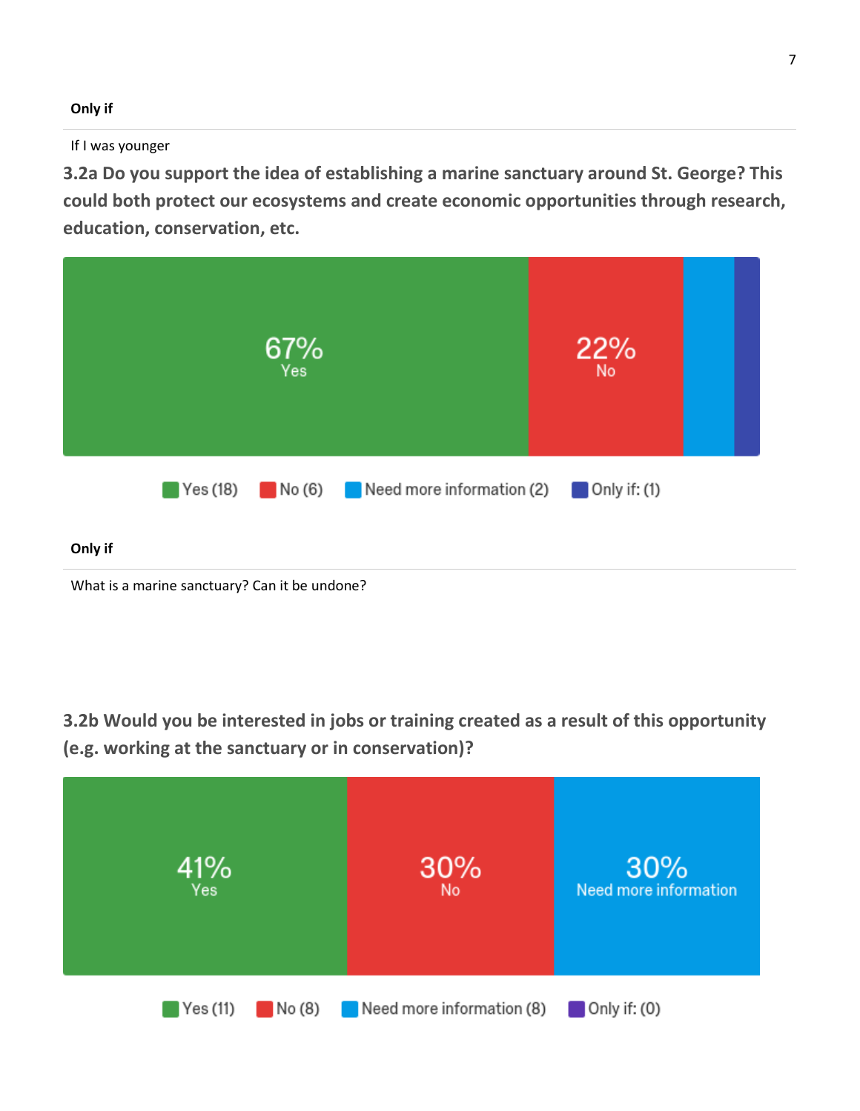#### **Only if**

#### If I was younger

**3.2a Do you support the idea of establishing a marine sanctuary around St. George? This could both protect our ecosystems and create economic opportunities through research, education, conservation, etc.**



# **3.2b Would you be interested in jobs or training created as a result of this opportunity (e.g. working at the sanctuary or in conservation)?**

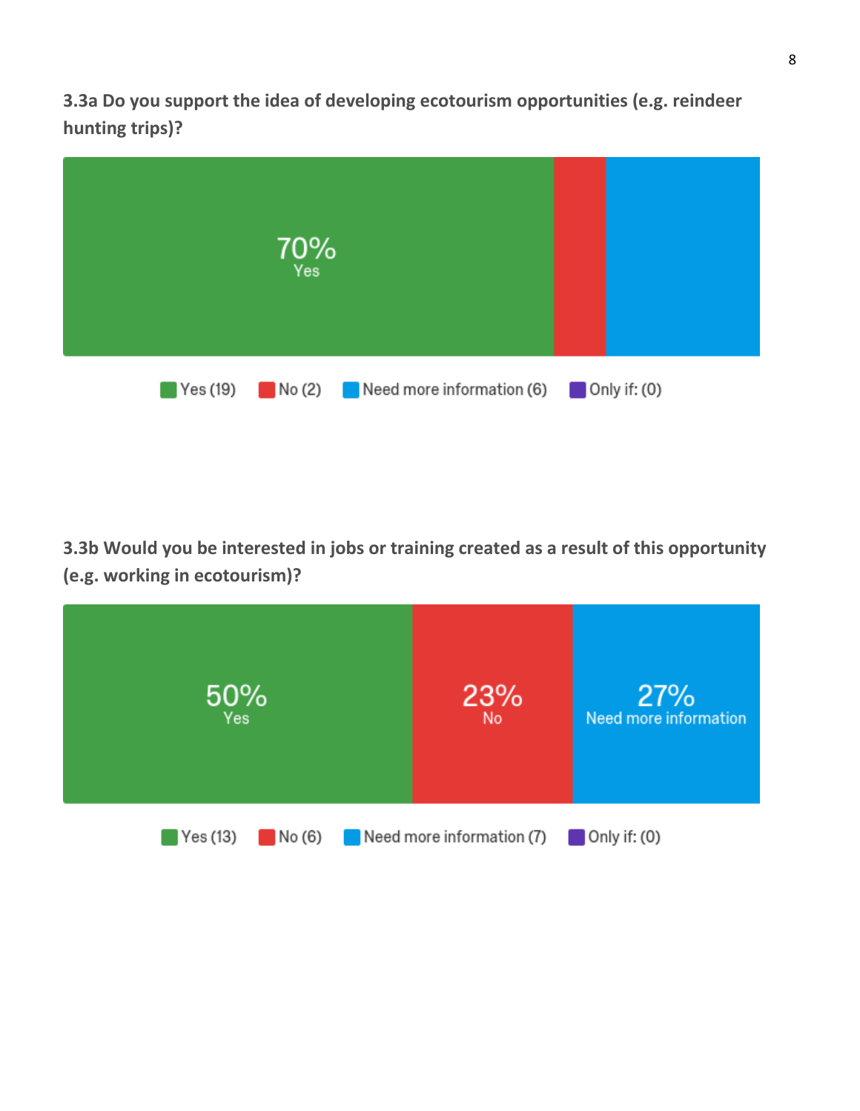**3.3a Do you support the idea of developing ecotourism opportunities (e.g. reindeer hunting trips)?**



**3.3b Would you be interested in jobs or training created as a result of this opportunity (e.g. working in ecotourism)?**

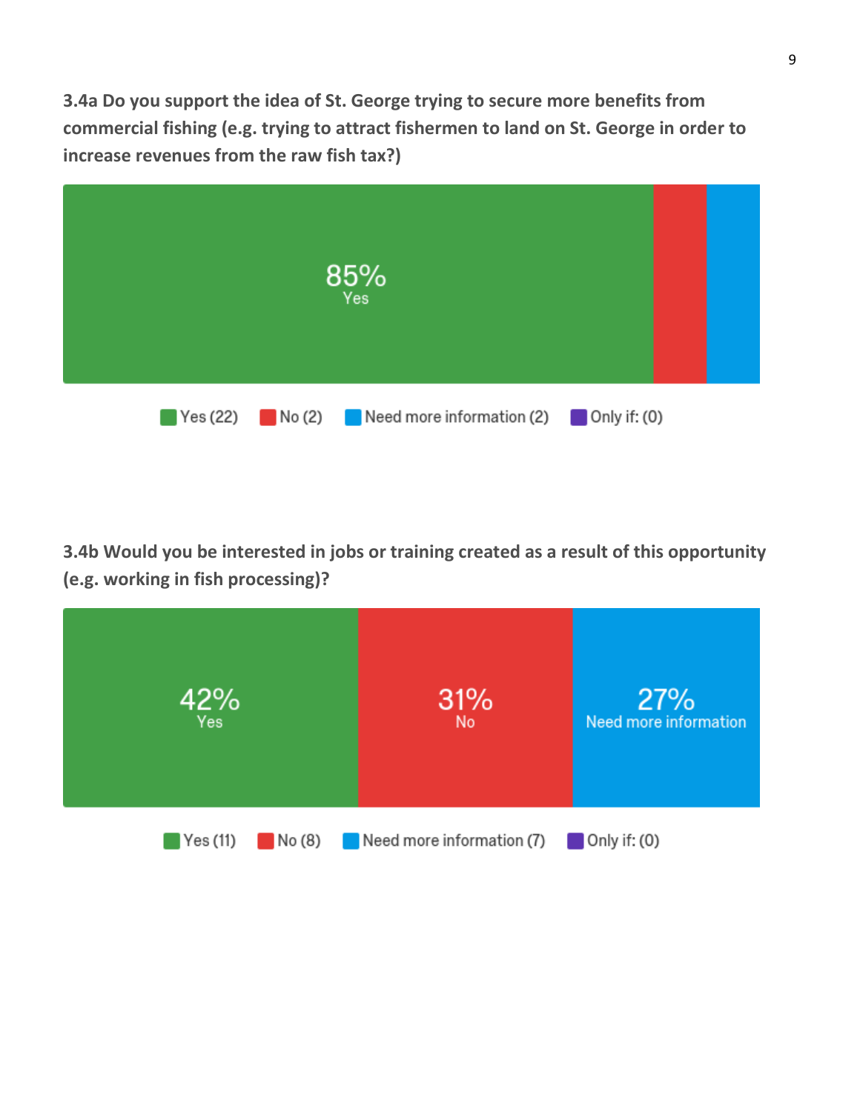**3.4a Do you support the idea of St. George trying to secure more benefits from commercial fishing (e.g. trying to attract fishermen to land on St. George in order to increase revenues from the raw fish tax?)**



**3.4b Would you be interested in jobs or training created as a result of this opportunity (e.g. working in fish processing)?**

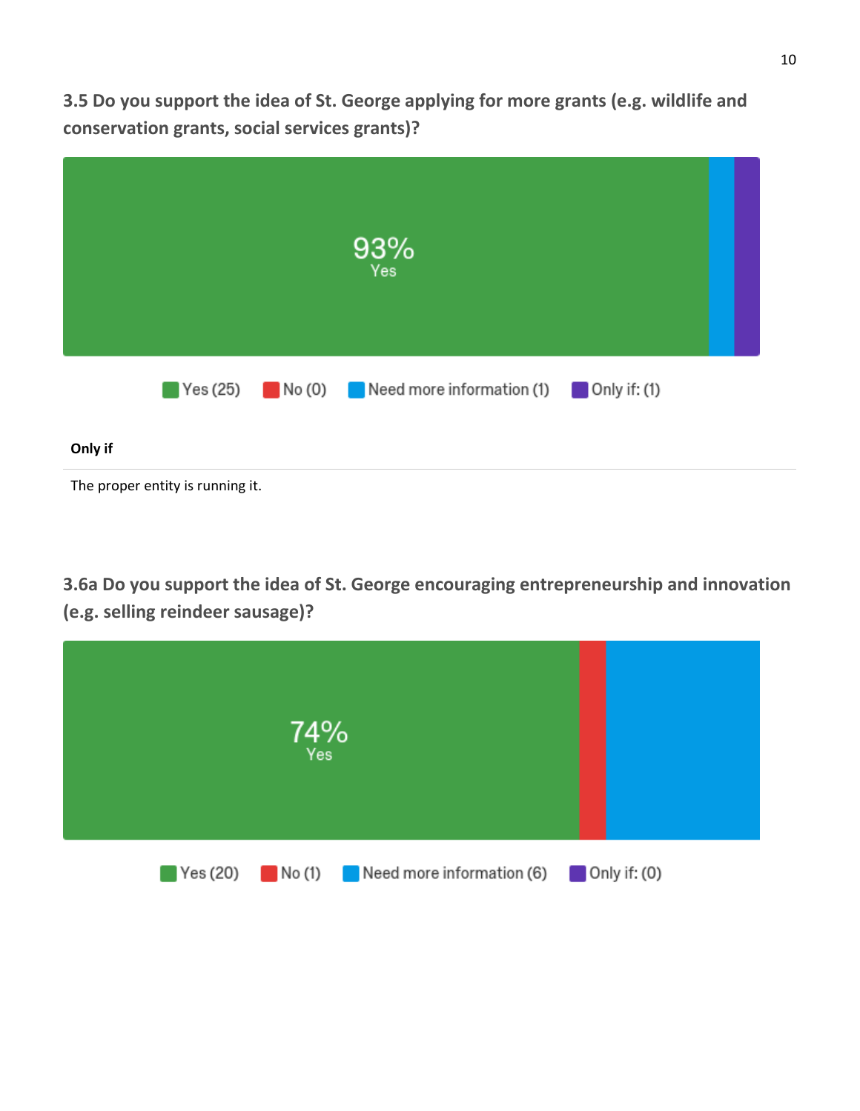**3.5 Do you support the idea of St. George applying for more grants (e.g. wildlife and conservation grants, social services grants)?**



**3.6a Do you support the idea of St. George encouraging entrepreneurship and innovation (e.g. selling reindeer sausage)?**

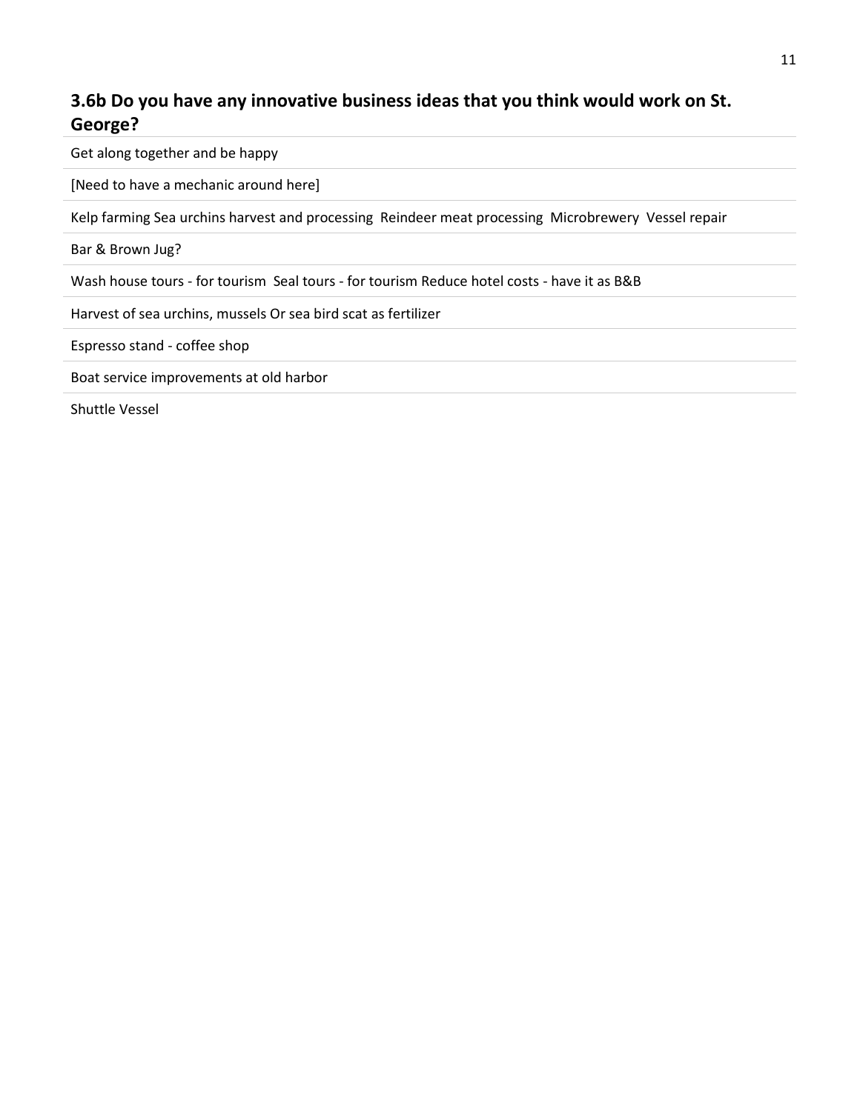### **3.6b Do you have any innovative business ideas that you think would work on St. George?**

Get along together and be happy

[Need to have a mechanic around here]

Kelp farming Sea urchins harvest and processing Reindeer meat processing Microbrewery Vessel repair

Bar & Brown Jug?

Wash house tours - for tourism Seal tours - for tourism Reduce hotel costs - have it as B&B

Harvest of sea urchins, mussels Or sea bird scat as fertilizer

Espresso stand - coffee shop

Boat service improvements at old harbor

Shuttle Vessel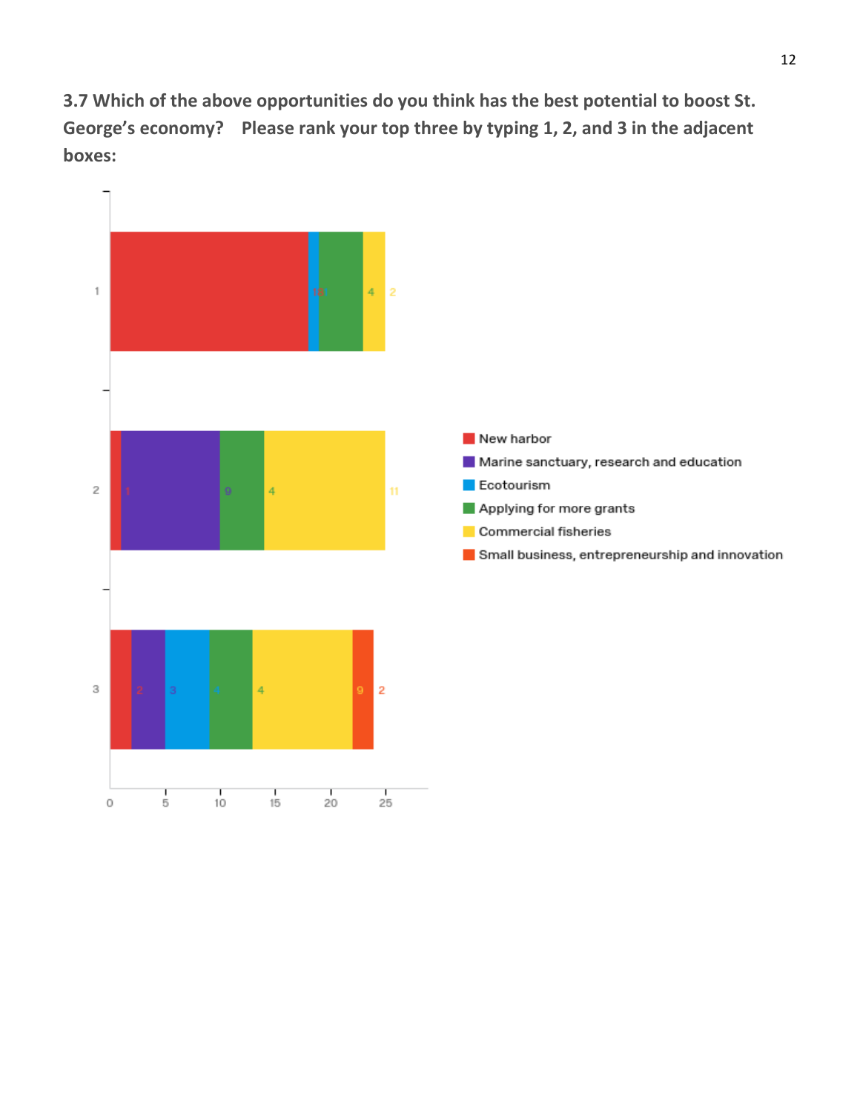**3.7 Which of the above opportunities do you think has the best potential to boost St. George's economy? Please rank your top three by typing 1, 2, and 3 in the adjacent boxes:**

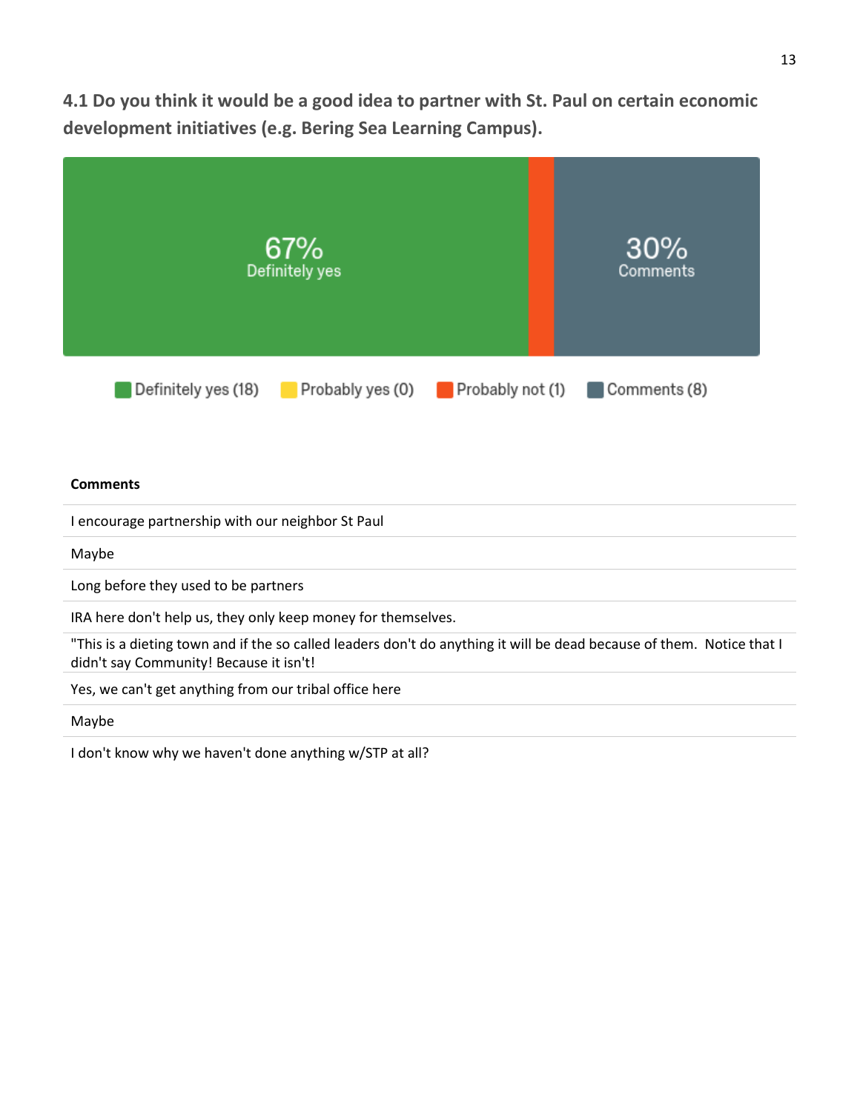**4.1 Do you think it would be a good idea to partner with St. Paul on certain economic development initiatives (e.g. Bering Sea Learning Campus).**



Maybe

I don't know why we haven't done anything w/STP at all?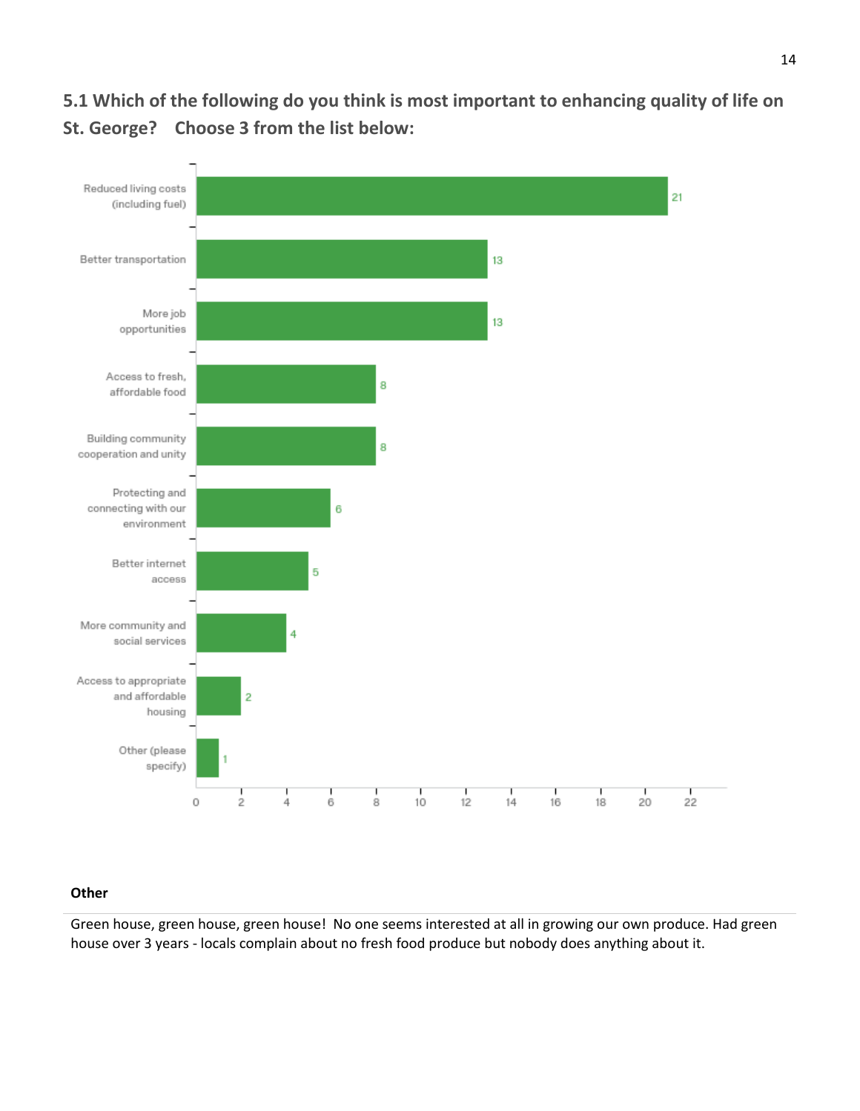**5.1 Which of the following do you think is most important to enhancing quality of life on St. George? Choose 3 from the list below:**



#### **Other**

Green house, green house, green house! No one seems interested at all in growing our own produce. Had green house over 3 years - locals complain about no fresh food produce but nobody does anything about it.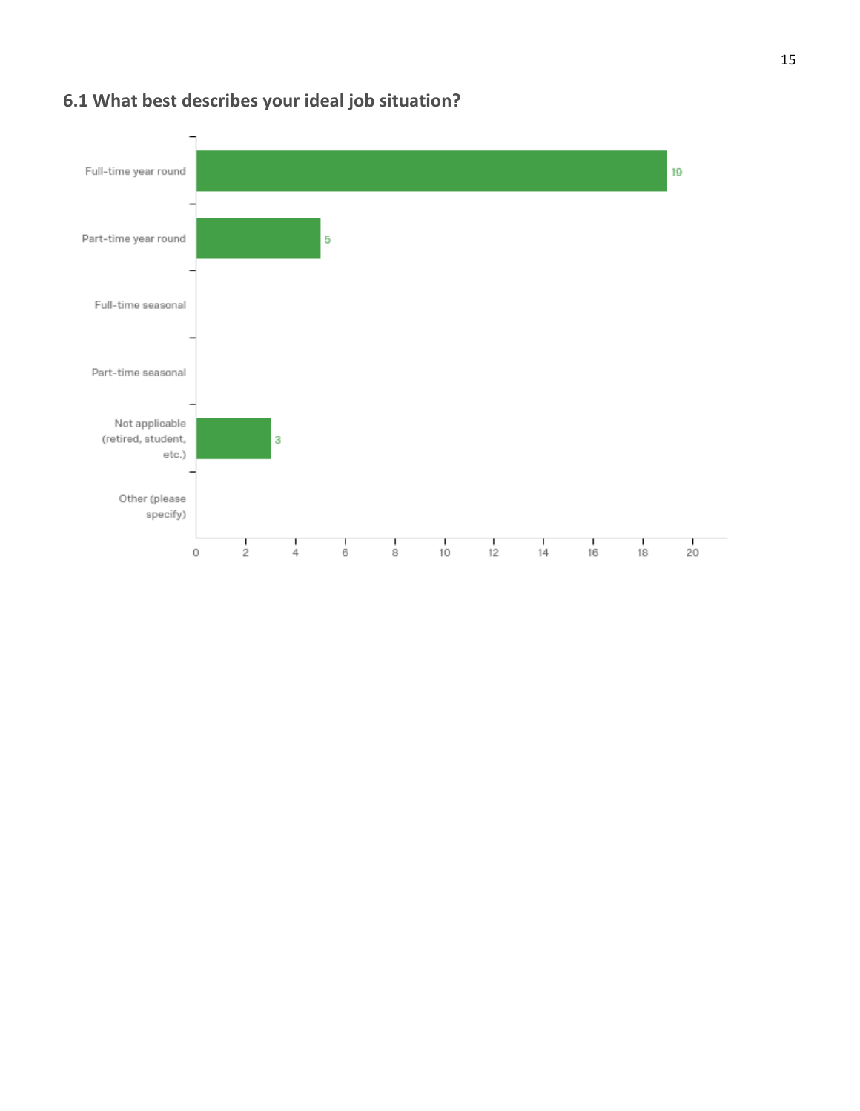

# **6.1 What best describes your ideal job situation?**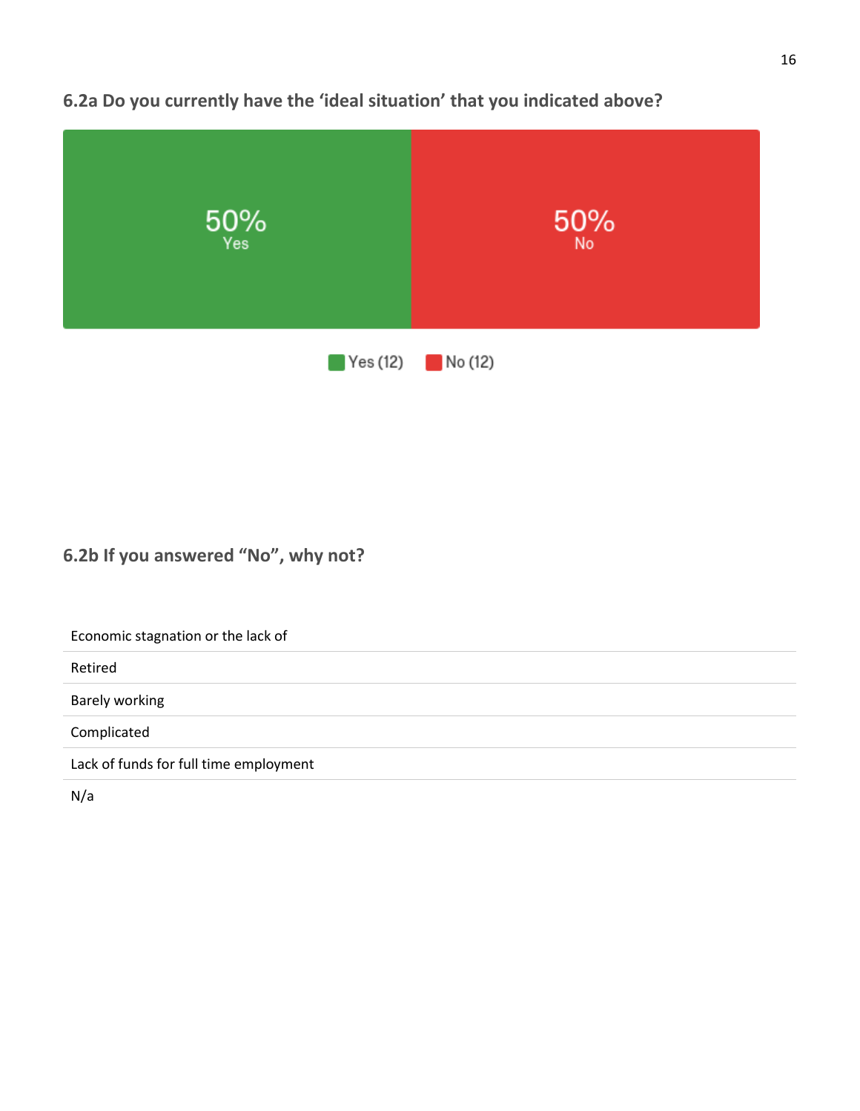

### **6.2a Do you currently have the 'ideal situation' that you indicated above?**

### **6.2b If you answered "No", why not?**

Economic stagnation or the lack of

Retired

Barely working

Complicated

Lack of funds for full time employment

N/a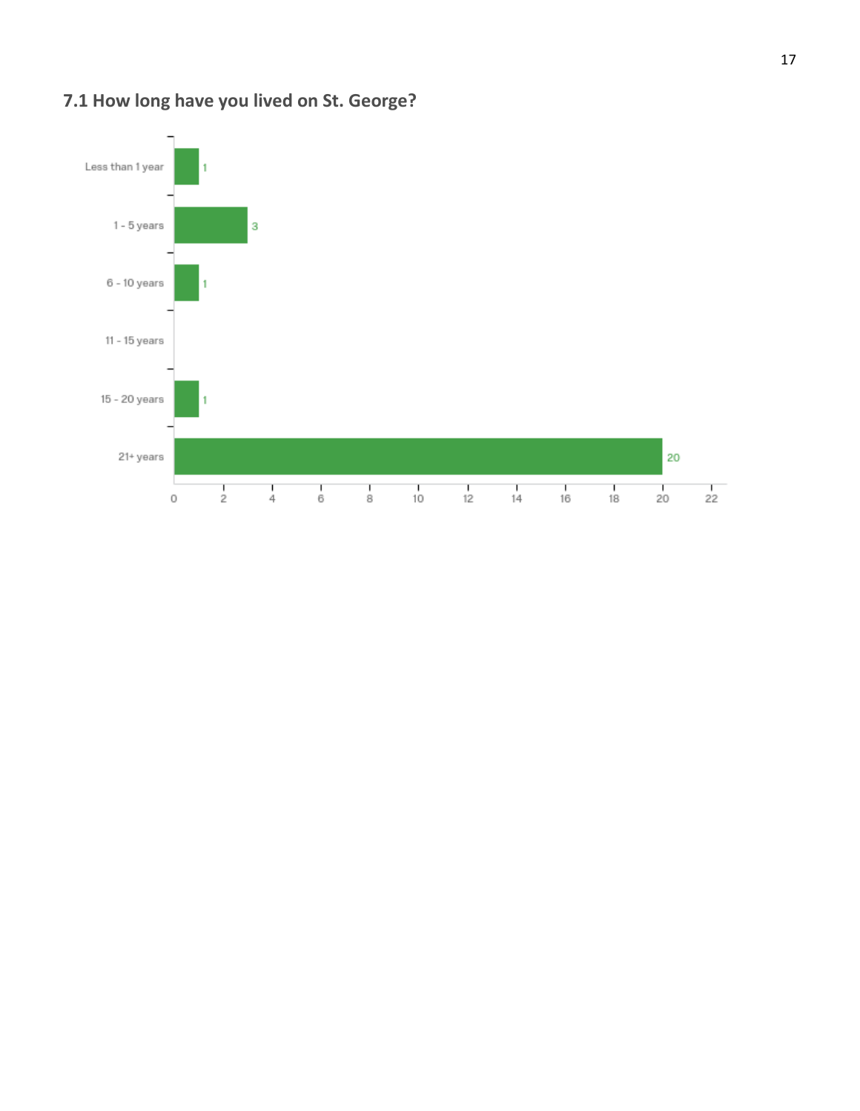

# **7.1 How long have you lived on St. George?**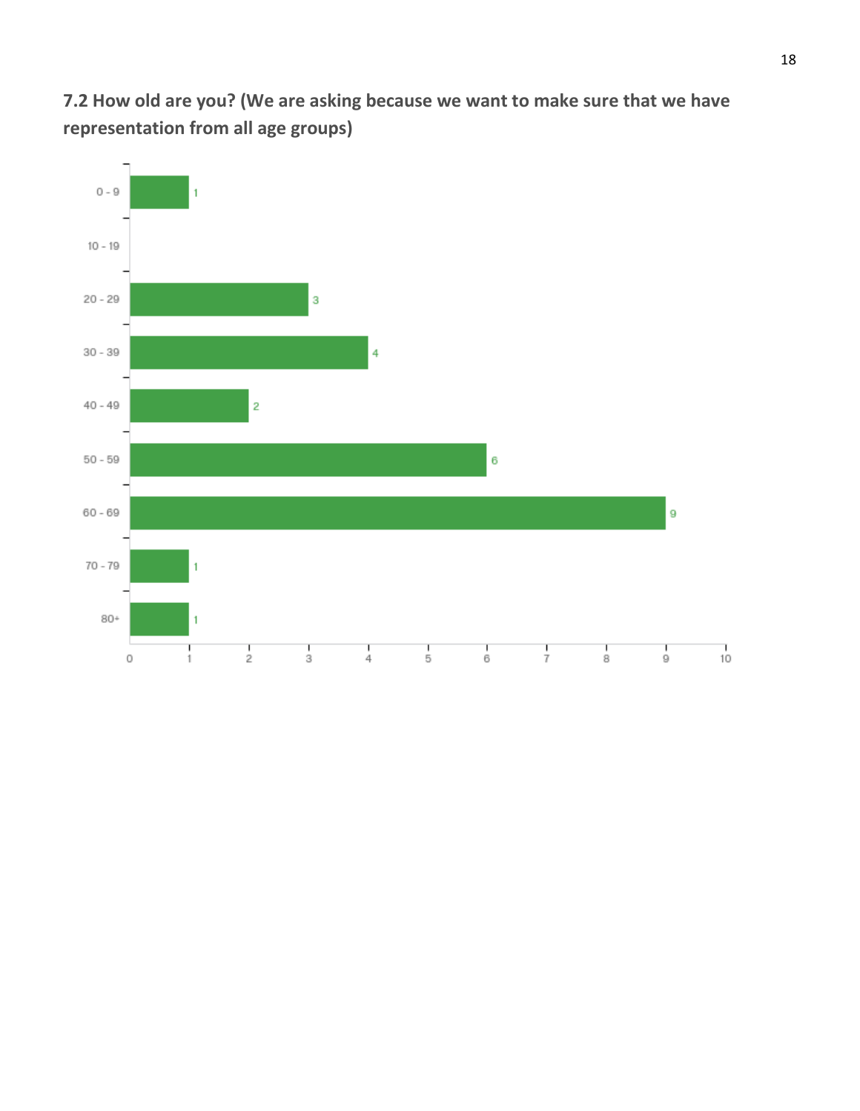**7.2 How old are you? (We are asking because we want to make sure that we have representation from all age groups)**

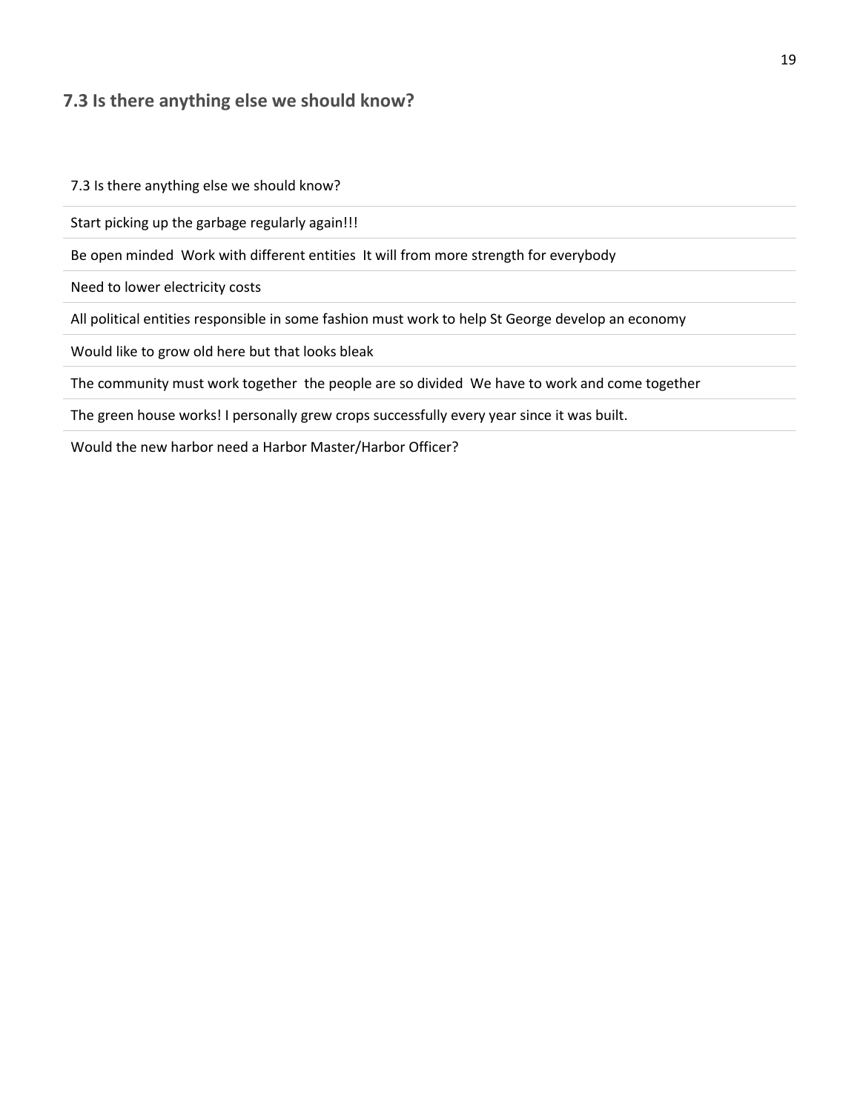#### **7.3 Is there anything else we should know?**

7.3 Is there anything else we should know?

Start picking up the garbage regularly again!!!

Be open minded Work with different entities It will from more strength for everybody

Need to lower electricity costs

All political entities responsible in some fashion must work to help St George develop an economy

Would like to grow old here but that looks bleak

The community must work together the people are so divided We have to work and come together

The green house works! I personally grew crops successfully every year since it was built.

Would the new harbor need a Harbor Master/Harbor Officer?